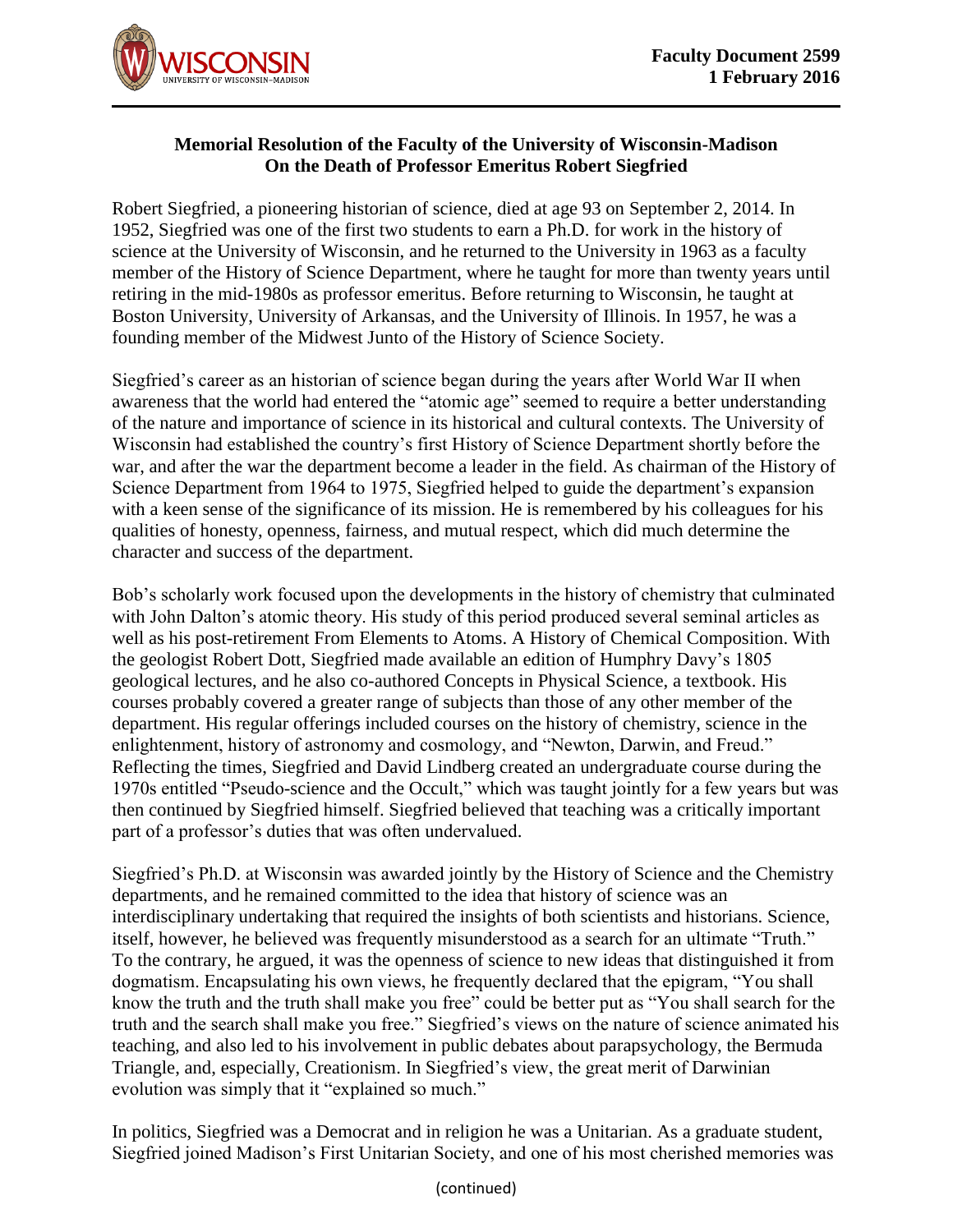

## **Memorial Resolution of the Faculty of the University of Wisconsin-Madison On the Death of Professor Emeritus Robert Siegfried**

Robert Siegfried, a pioneering historian of science, died at age 93 on September 2, 2014. In 1952, Siegfried was one of the first two students to earn a Ph.D. for work in the history of science at the University of Wisconsin, and he returned to the University in 1963 as a faculty member of the History of Science Department, where he taught for more than twenty years until retiring in the mid-1980s as professor emeritus. Before returning to Wisconsin, he taught at Boston University, University of Arkansas, and the University of Illinois. In 1957, he was a founding member of the Midwest Junto of the History of Science Society.

Siegfried's career as an historian of science began during the years after World War II when awareness that the world had entered the "atomic age" seemed to require a better understanding of the nature and importance of science in its historical and cultural contexts. The University of Wisconsin had established the country's first History of Science Department shortly before the war, and after the war the department become a leader in the field. As chairman of the History of Science Department from 1964 to 1975, Siegfried helped to guide the department's expansion with a keen sense of the significance of its mission. He is remembered by his colleagues for his qualities of honesty, openness, fairness, and mutual respect, which did much determine the character and success of the department.

Bob's scholarly work focused upon the developments in the history of chemistry that culminated with John Dalton's atomic theory. His study of this period produced several seminal articles as well as his post-retirement From Elements to Atoms. A History of Chemical Composition. With the geologist Robert Dott, Siegfried made available an edition of Humphry Davy's 1805 geological lectures, and he also co-authored Concepts in Physical Science, a textbook. His courses probably covered a greater range of subjects than those of any other member of the department. His regular offerings included courses on the history of chemistry, science in the enlightenment, history of astronomy and cosmology, and "Newton, Darwin, and Freud." Reflecting the times, Siegfried and David Lindberg created an undergraduate course during the 1970s entitled "Pseudo-science and the Occult," which was taught jointly for a few years but was then continued by Siegfried himself. Siegfried believed that teaching was a critically important part of a professor's duties that was often undervalued.

Siegfried's Ph.D. at Wisconsin was awarded jointly by the History of Science and the Chemistry departments, and he remained committed to the idea that history of science was an interdisciplinary undertaking that required the insights of both scientists and historians. Science, itself, however, he believed was frequently misunderstood as a search for an ultimate "Truth." To the contrary, he argued, it was the openness of science to new ideas that distinguished it from dogmatism. Encapsulating his own views, he frequently declared that the epigram, "You shall know the truth and the truth shall make you free" could be better put as "You shall search for the truth and the search shall make you free." Siegfried's views on the nature of science animated his teaching, and also led to his involvement in public debates about parapsychology, the Bermuda Triangle, and, especially, Creationism. In Siegfried's view, the great merit of Darwinian evolution was simply that it "explained so much."

In politics, Siegfried was a Democrat and in religion he was a Unitarian. As a graduate student, Siegfried joined Madison's First Unitarian Society, and one of his most cherished memories was